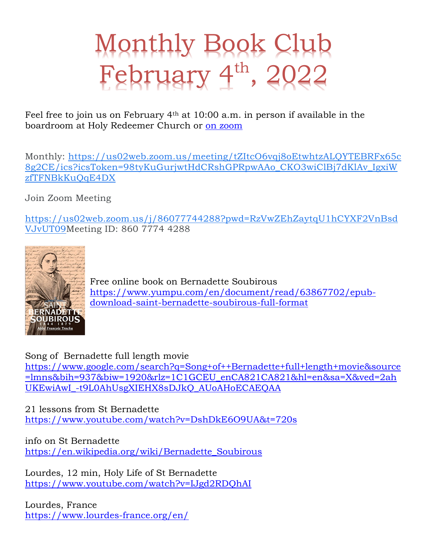## Monthly Book Club February  $4^{\text{th}}$ , 2022

Feel free to join us on February 4th at 10:00 a.m. in person if available in the boardroom at Holy Redeemer Church or on zoom

Monthly: https://us02web.zoom.us/meeting/tZItcO6vqj8oEtwhtzALQYTEBRFx65c 8g2CE/ics?icsToken=98tyKuGurjwtHdCRshGPRpwAAo\_CKO3wiClBj7dKlAv\_IgxiW zfTFNBkKuQqE4DX

Join Zoom Meeting

https://us02web.zoom.us/j/86077744288?pwd=RzVwZEhZaytqU1hCYXF2VnBsd VJvUT09Meeting ID: 860 7774 4288



Free online book on Bernadette Soubirous https://www.yumpu.com/en/document/read/63867702/epubdownload-saint-bernadette-soubirous-full-format

Song of Bernadette full length movie

https://www.google.com/search?q=Song+of++Bernadette+full+length+movie&source =lmns&bih=937&biw=1920&rlz=1C1GCEU\_enCA821CA821&hl=en&sa=X&ved=2ah UKEwiAwI\_-t9L0AhUsgXIEHX8sDJkQ\_AUoAHoECAEQAA

21 lessons from St Bernadette https://www.youtube.com/watch?v=DshDkE6O9UA&t=720s

info on St Bernadette https://en.wikipedia.org/wiki/Bernadette\_Soubirous

Lourdes, 12 min, Holy Life of St Bernadette https://www.youtube.com/watch?v=IJgd2RDQhAI

Lourdes, France https://www.lourdes-france.org/en/